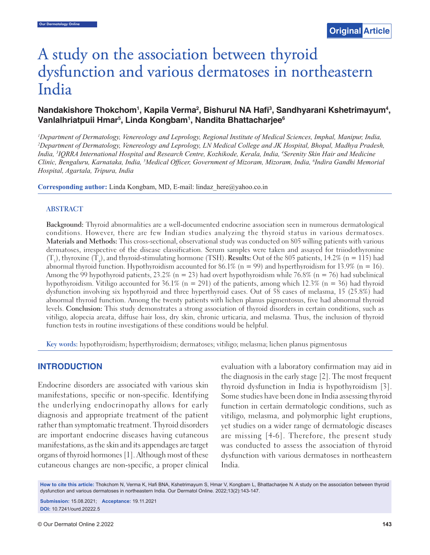# A study on the association between thyroid dysfunction and various dermatoses in northeastern India

# Nandakishore Thokchom<sup>1</sup>, Kapila Verma<sup>2</sup>, Bishurul NA Hafi<sup>3</sup>, Sandhyarani Kshetrimayum<sup>4</sup>, **Vanlalhriatpuii Hmar5 , Linda Kongbam1 , Nandita Bhattacharjee6**

*1 Department of Dermatology, Venereology and Leprology, Regional Institute of Medical Sciences, Imphal, Manipur, India, 2 Department of Dermatology, Venereology and Leprology, LN Medical College and JK Hospital, Bhopal, Madhya Pradesh, India, 3 IQRRA International Hospital and Research Centre, Kozhikode, Kerala, India, 4 Serenity Skin Hair and Medicine Clinic, Bengaluru, Karnataka, India, 5 Medical Offi cer, Government of Mizoram, Mizoram, India, 6 Indira Gandhi Memorial Hospital, Agartala, Tripura, India*

**Corresponding author:** Linda Kongbam, MD, E-mail: lindaz here@yahoo.co.in

#### **ABSTRACT**

**Background:** Thyroid abnormalities are a well-documented endocrine association seen in numerous dermatological conditions. However, there are few Indian studies analyzing the thyroid status in various dermatoses. **Materials and Methods:** This cross-sectional, observational study was conducted on 805 willing patients with various dermatoses, irrespective of the disease classification. Serum samples were taken and assayed for triiodothyronine  $(T_3)$ , thyroxine  $(T_4)$ , and thyroid-stimulating hormone (TSH). **Results:** Out of the 805 patients, 14.2% (n = 115) had abnormal thyroid function. Hypothyroidism accounted for 86.1% (n = 99) and hyperthyroidism for 13.9% (n = 16). Among the 99 hypothyroid patients, 23.2% ( $n = 23$ ) had overt hypothyroidism while 76.8% ( $n = 76$ ) had subclinical hypothyroidism. Vitiligo accounted for 36.1% (n = 291) of the patients, among which 12.3% (n = 36) had thyroid dysfunction involving six hypothyroid and three hyperthyroid cases. Out of 58 cases of melasma, 15 (25.8%) had abnormal thyroid function. Among the twenty patients with lichen planus pigmentosus, five had abnormal thyroid levels. **Conclusion:** This study demonstrates a strong association of thyroid disorders in certain conditions, such as vitiligo, alopecia areata, diffuse hair loss, dry skin, chronic urticaria, and melasma. Thus, the inclusion of thyroid function tests in routine investigations of these conditions would be helpful.

**Key words:** hypothyroidism; hyperthyroidism; dermatoses; vitiligo; melasma; lichen planus pigmentosus

# **INTRODUCTION**

Endocrine disorders are associated with various skin manifestations, specific or non-specific. Identifying the underlying endocrinopathy allows for early diagnosis and appropriate treatment of the patient rather than symptomatic treatment. Thyroid disorders are important endocrine diseases having cutaneous manifestations, as the skin and its appendages are target organs of thyroid hormones [1]. Although most of these cutaneous changes are non-specific, a proper clinical evaluation with a laboratory confirmation may aid in the diagnosis in the early stage [2]. The most frequent thyroid dysfunction in India is hypothyroidism [3]. Some studies have been done in India assessing thyroid function in certain dermatologic conditions, such as vitiligo, melasma, and polymorphic light eruptions, yet studies on a wider range of dermatologic diseases are missing [4-6]. Therefore, the present study was conducted to assess the association of thyroid dysfunction with various dermatoses in northeastern India.

**How to cite this article:** Thokchom N, Verma K, Hafi BNA, Kshetrimayum S, Hmar V, Kongbam L, Bhattacharjee N. A study on the association between thyroid dysfunction and various dermatoses in northeastern India. Our Dermatol Online. 2022;13(2):143-147.

**Submission:** 15.08.2021; **Acceptance:** 19.11.2021 **DOI:** 10.7241/ourd.20222.5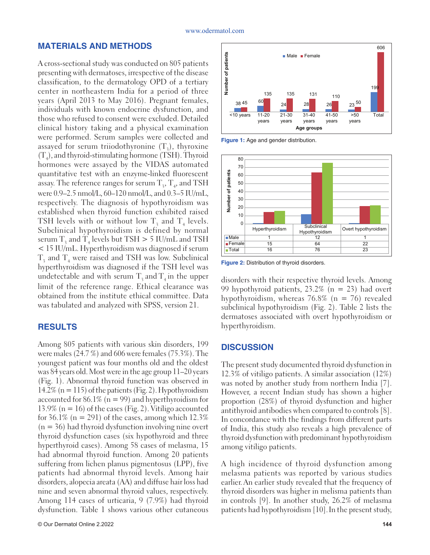# **MATERIALS AND METHODS**

A cross-sectional study was conducted on 805 patients presenting with dermatoses, irrespective of the disease classification, to the dermatology OPD of a tertiary center in northeastern India for a period of three years (April 2013 to May 2016). Pregnant females, individuals with known endocrine dysfunction, and those who refused to consent were excluded. Detailed clinical history taking and a physical examination were performed. Serum samples were collected and assayed for serum triiodothyronine  $(T_3)$ , thyroxine  $(T_4)$ , and thyroid-stimulating hormone (TSH). Thyroid hormones were assayed by the VIDAS automated quantitative test with an enzyme-linked fluorescent assay. The reference ranges for serum  $\mathrm{T}_{\mathfrak{z}}, \mathrm{T}_{\mathfrak{q}},$  and TSH were 0.9–2.5 nmol/L, 60–120 nmol/L, and 0.3–5 IU/mL, respectively. The diagnosis of hypothyroidism was established when thyroid function exhibited raised TSH levels with or without low  $T_3$  and  $T_4$  levels. Subclinical hypothyroidism is defined by normal serum T<sub>3</sub> and T<sub>4</sub> levels but TSH  $> 5$  IU/mL and TSH < 15 IU/mL. Hyperthyroidism was diagnosed if serum  $T_3$  and  $T_4$  were raised and TSH was low. Subclinical hyperthyroidism was diagnosed if the TSH level was undetectable and with serum  $T_3$  and  $T_4$  in the upper limit of the reference range. Ethical clearance was obtained from the institute ethical committee. Data was tabulated and analyzed with SPSS, version 21.

# **RESULTS**

Among 805 patients with various skin disorders, 199 were males (24.7 %) and 606 were females (75.3%). The youngest patient was four months old and the oldest was 84 years old. Most were in the age group 11–20 years (Fig. 1). Abnormal thyroid function was observed in 14.2% ( $n = 115$ ) of the patients (Fig. 2). Hypothyroidism accounted for 86.1% ( $n = 99$ ) and hyperthyroidism for 13.9% ( $n = 16$ ) of the cases (Fig. 2). Vitiligo accounted for 36.1% ( $n = 291$ ) of the cases, among which 12.3%  $(n = 36)$  had thyroid dysfunction involving nine overt thyroid dysfunction cases (six hypothyroid and three hyperthyroid cases). Among 58 cases of melasma, 15 had abnormal thyroid function. Among 20 patients suffering from lichen planus pigmentosus (LPP), five patients had abnormal thyroid levels. Among hair disorders, alopecia areata (AA) and diffuse hair loss had nine and seven abnormal thyroid values, respectively. Among 114 cases of urticaria, 9 (7.9%) had thyroid dysfunction. Table 1 shows various other cutaneous



**Figure 1:** Age and gender distribution.



**Figure 2:** Distribution of thyroid disorders.

disorders with their respective thyroid levels. Among 99 hypothyroid patients,  $23.2\%$  (n = 23) had overt hypothyroidism, whereas 76.8% ( $n = 76$ ) revealed subclinical hypothyroidism (Fig. 2). Table 2 lists the dermatoses associated with overt hypothyroidism or hyperthyroidism.

# **DISCUSSION**

The present study documented thyroid dysfunction in 12.3% of vitiligo patients. A similar association (12%) was noted by another study from northern India [7]. However, a recent Indian study has shown a higher proportion (28%) of thyroid dysfunction and higher antithyroid antibodies when compared to controls [8]. In concordance with the findings from different parts of India, this study also reveals a high prevalence of thyroid dysfunction with predominant hypothyroidism among vitiligo patients.

A high incidence of thyroid dysfunction among melasma patients was reported by various studies earlier.An earlier study revealed that the frequency of thyroid disorders was higher in melisma patients than in controls [9]. In another study, 26.2% of melasma patients had hypothyroidism [10].In the present study,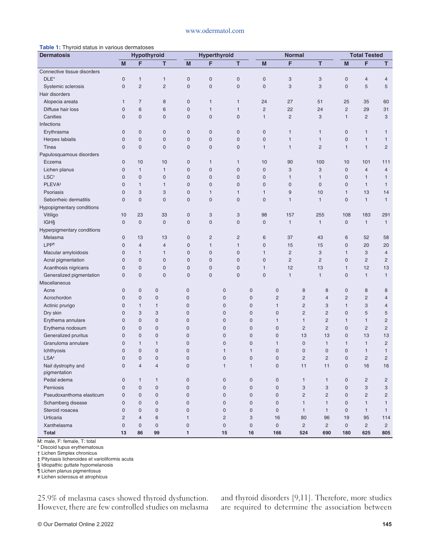#### www.odermatol.com

#### **Table 1:** Thyroid status in various dermatoses

| ,<br>$5.5$ $5.00$ $1.00$ $1.00$ $1.00$ $1.00$ $1.00$<br><b>Dermatosis</b> |                     | <b>Hyperthyroid</b><br>Hypothyroid |                     |                | <b>Normal</b>       |                           |                     |                     | <b>Total Tested</b> |                                  |                     |                           |                |
|---------------------------------------------------------------------------|---------------------|------------------------------------|---------------------|----------------|---------------------|---------------------------|---------------------|---------------------|---------------------|----------------------------------|---------------------|---------------------------|----------------|
|                                                                           | M                   | F                                  | т                   | M              | F                   | т                         |                     | M                   | F                   | т                                | M                   | F                         | T.             |
| Connective tissue disorders                                               |                     |                                    |                     |                |                     |                           |                     |                     |                     |                                  |                     |                           |                |
| DLE*                                                                      | 0                   | $\mathbf{1}$                       | $\mathbf{1}$        | $\mathbf 0$    | $\mathsf{O}\xspace$ | $\mathsf{O}\xspace$       |                     | $\mathbf 0$         | 3                   | 3                                | $\mathbf 0$         | $\overline{4}$            | $\overline{4}$ |
| Systemic sclerosis                                                        | $\overline{0}$      | $\overline{c}$                     | $\overline{2}$      | $\overline{0}$ | $\mathbf 0$         | $\mathbf 0$               |                     | $\mathbf{0}$        | 3                   | 3                                | $\overline{0}$      | 5                         | 5              |
| Hair disorders                                                            |                     |                                    |                     |                |                     |                           |                     |                     |                     |                                  |                     |                           |                |
| Alopecia areata                                                           | 1                   | $\overline{7}$                     | 8                   | $\mathbf 0$    | $\mathbf{1}$        | $\mathbf{1}$              |                     | 24                  | 27                  | 51                               | 25                  | 35                        | 60             |
| Diffuse hair loss                                                         | $\mathbf 0$         | 6                                  | 6                   | $\mathbf 0$    | $\mathbf{1}$        | $\mathbf{1}$              |                     | $\overline{2}$      | 22                  | 24                               | $\overline{c}$      | 29                        | 31             |
| Canities                                                                  | 0                   | $\mathbf 0$                        | $\mathbf 0$         | $\mathbf 0$    | $\mathbf 0$         | $\mathbf 0$               |                     | $\mathbf{1}$        | $\overline{c}$      | 3                                | $\mathbf{1}$        | $\mathbf{2}$              | 3              |
| Infections                                                                |                     |                                    |                     |                |                     |                           |                     |                     |                     |                                  |                     |                           |                |
| Erythrasma                                                                | 0                   | $\mathbf 0$                        | $\mathbf 0$         | $\mathbf 0$    | $\mathsf 0$         | $\mathbf 0$               |                     | $\mathbf 0$         | $\mathbf{1}$        | $\mathbf{1}$                     | 0                   | $\mathbf{1}$              | 1              |
| Herpes labialis                                                           | $\mathbf 0$         | $\overline{0}$                     | $\mathsf{O}\xspace$ | $\mathbf 0$    | $\mathsf{O}\xspace$ | $\mathbf 0$               |                     | $\mathsf{O}\xspace$ | $\mathbf{1}$        | $\mathbf{1}$                     | $\overline{0}$      | $\mathbf{1}$              | $\mathbf{1}$   |
| Tinea                                                                     | 0                   | $\mathbf 0$                        | $\mathbf 0$         | $\mathbf 0$    | $\mathbf 0$         | $\mathbf 0$               |                     | $\mathbf{1}$        | $\mathbf{1}$        | $\overline{2}$                   | $\mathbf{1}$        | $\mathbf{1}$              | $\overline{2}$ |
| Papulosquamous disorders                                                  |                     |                                    |                     |                |                     |                           |                     |                     |                     |                                  |                     |                           |                |
| Eczema                                                                    | $\mathbf 0$         | 10                                 | 10                  | $\mathbf 0$    | $\mathbf{1}$        | $\mathbf{1}$              |                     | 10                  | 90                  | 100                              | 10                  | 101                       | 111            |
| Lichen planus                                                             | $\mathbf 0$         | $\mathbf{1}$                       | $\mathbf{1}$        | $\mathbf 0$    | $\mathsf{O}\xspace$ | $\mathsf{O}\xspace$       |                     | $\mathsf{O}\xspace$ | 3                   | 3                                | $\mathbf 0$         | $\overline{4}$            | $\overline{4}$ |
| LSC <sup>t</sup>                                                          | $\mathbf 0$         | $\overline{0}$                     | $\mathbf 0$         | $\mathbf 0$    | $\mathsf{O}\xspace$ | $\mathsf{O}\xspace$       |                     | $\mathbf{0}$        | $\mathbf{1}$        | $\mathbf{1}$                     | $\overline{0}$      | $\mathbf{1}$              | $\mathbf{1}$   |
| PLEVA <sup>#</sup>                                                        | $\mathbf 0$         | $\mathbf{1}$                       | $\mathbf{1}$        | $\mathbf 0$    | $\mathbf 0$         | $\mathbf 0$               |                     | $\mathbf 0$         | $\mathbf 0$         | $\mathbf 0$                      | 0                   | $\mathbf{1}$              | $\mathbf{1}$   |
| Psoriasis                                                                 | $\mathbf 0$         | 3                                  | 3                   | $\mathbf 0$    | $\mathbf{1}$        | $\mathbf{1}$              |                     | $\mathbf{1}$        | $9\,$               | 10                               | $\mathbf{1}$        | 13                        | 14             |
| Seborrheic dermatitis                                                     | $\overline{0}$      | $\overline{0}$                     | $\mathbf 0$         | $\mathbf 0$    | $\mathsf{O}\xspace$ | $\mathsf{O}\xspace$       |                     | $\mathsf{O}\xspace$ | $\mathbf{1}$        | $\mathbf{1}$                     | $\mathbf 0$         | $\mathbf{1}$              | $\mathbf{1}$   |
| Hypopigmentary conditions                                                 |                     |                                    |                     |                |                     |                           |                     |                     |                     |                                  |                     |                           |                |
| Vitiligo                                                                  | 10                  | 23                                 | 33                  | $\mathbf 0$    | 3                   | $\ensuremath{\mathsf{3}}$ |                     | 98                  | 157                 | 255                              | 108                 | 183                       | 291            |
| <b>IGHS</b>                                                               | $\mathsf{O}\xspace$ | $\mathbf 0$                        | $\mathbf 0$         | $\mathbf 0$    | $\mathsf{O}\xspace$ | $\mathsf{O}\xspace$       |                     | $\mathbf 0$         | $\mathbf{1}$        | $\mathbf{1}$                     | $\mathbf 0$         | $\mathbf{1}$              | $\mathbf{1}$   |
| Hyperpigmentary conditions                                                |                     |                                    |                     |                |                     |                           |                     |                     |                     |                                  |                     |                           |                |
| Melasma                                                                   | 0                   | 13                                 | 13                  | $\mathbf 0$    | $\overline{c}$      | $\overline{c}$            |                     | $6\phantom{1}6$     | 37                  | 43                               | 6                   | 52                        | 58             |
| LPP <sup>1</sup>                                                          | $\mathbf 0$         | $\overline{4}$                     | $\overline{4}$      | $\mathbf 0$    | $\mathbf{1}$        | $\mathbf{1}$              |                     | $\mathbf 0$         | 15                  | 15                               | $\mathbf 0$         | 20                        | 20             |
| Macular amyloidosis                                                       | $\overline{0}$      | $\mathbf{1}$                       | $\mathbf{1}$        | $\overline{0}$ | $\mathbf 0$         | $\mathbf 0$               |                     | $\mathbf{1}$        | $\overline{c}$      | 3                                | $\mathbf{1}$        | 3                         | $\overline{4}$ |
| Acral pigmentation                                                        | $\mathbf 0$         | $\mathbf 0$                        | $\mathbf 0$         | $\mathbf 0$    | $\mathsf 0$         | $\mathbf 0$               |                     | $\mathsf{O}\xspace$ | $\overline{2}$      | $\overline{2}$                   | $\mathbf 0$         | $\overline{2}$            | $\overline{2}$ |
| Acanthosis nigricans                                                      | $\mathbf 0$         | $\mathbf 0$                        | $\mathbf 0$         | $\mathbf 0$    | $\mathbf 0$         | $\mathbf 0$               |                     | $\mathbf{1}$        | 12                  | 13                               | $\mathbf{1}$        | 12                        | 13             |
| Generalized pigmentation                                                  | $\mathbf 0$         | $\mathbf 0$                        | $\mathbf 0$         | $\mathbf 0$    | $\pmb{0}$           | $\mathbf 0$               |                     | $\mathsf{O}\xspace$ | $\mathbf{1}$        | $\mathbf{1}$                     | $\mathbf 0$         | $\mathbf{1}$              | $\mathbf{1}$   |
| Miscellaneous                                                             |                     |                                    |                     |                |                     |                           |                     |                     |                     |                                  |                     |                           |                |
| Acne                                                                      | 0                   | $\mathbf 0$                        | 0                   | $\mathbf 0$    |                     | $\mathbf 0$               | $\mathbf 0$         | $\pmb{0}$           | 8                   | 8                                | 0                   | 8                         | 8              |
| Acrochordon                                                               | $\mathbf 0$         | $\mathbf 0$                        | $\mathbf 0$         | $\mathbf 0$    |                     | $\mathsf{O}\xspace$       | $\mathsf 0$         | $\overline{c}$      | $\overline{c}$      | $\overline{4}$                   | $\overline{2}$      | $\overline{2}$            | 4              |
| Actinic prurigo                                                           | $\mathbf 0$         | $\mathbf{1}$                       | $\mathbf{1}$        | $\mathbf 0$    |                     | $\mathbf 0$               | $\mathsf 0$         | $\mathbf{1}$        | $\overline{c}$      | 3                                | $\mathbf{1}$        | 3                         | 4              |
| Dry skin                                                                  | $\mathbf 0$         | 3                                  | 3                   | $\mathbf 0$    |                     | $\overline{0}$            | $\mathbf 0$         | $\mathbf 0$         |                     | $\overline{c}$<br>$\overline{c}$ | $\mathbf 0$         | 5                         | 5              |
| Erythema annulare                                                         | $\mathbf 0$         | $\overline{0}$                     | $\mathbf 0$         | $\mathbf 0$    |                     | $\overline{0}$            | $\mathbf 0$         | $\mathbf{1}$        |                     | $\overline{c}$<br>$\mathbf{1}$   | $\mathbf{1}$        | $\mathbf{1}$              | $\overline{c}$ |
| Erythema nodosum                                                          | $\mathbf 0$         | $\overline{0}$                     | $\mathbf 0$         | $\mathbf 0$    |                     | $\mathbf 0$               | $\mathbf 0$         | $\mathbf 0$         | $\overline{c}$      | $\overline{c}$                   | $\overline{0}$      | $\overline{2}$            | $\overline{c}$ |
| Generalized pruritus                                                      | $\mathbf 0$         | $\mathbf 0$                        | $\mathbf 0$         | $\mathbf 0$    |                     | $\mathsf 0$               | $\mathsf 0$         | $\pmb{0}$           | 13                  | 13                               | $\overline{0}$      | 13                        | 13             |
| Granuloma annulare                                                        | $\overline{0}$      | $\mathbf{1}$                       | $\mathbf{1}$        | $\mathbf 0$    |                     | $\overline{0}$            | $\overline{0}$      | $\mathbf{1}$        | $\overline{0}$      | $\mathbf{1}$                     | $\mathbf{1}$        | $\mathbf{1}$              | $\overline{c}$ |
| Ichthyosis                                                                | $\mathbf 0$         | $\mathbf 0$                        | $\mathbf 0$         | $\mathbf 0$    |                     | $\mathbf{1}$              | 1                   | $\pmb{0}$           | $\mathbf 0$         | $\mathbf 0$                      | $\mathbf 0$         | $\mathbf{1}$              | $\mathbf{1}$   |
| LSA <sup>#</sup>                                                          | $\overline{0}$      | $\overline{0}$                     | $\mathbf 0$         | $\overline{0}$ |                     | $\overline{0}$            | $\overline{0}$      | $\mathbf{0}$        |                     | $\overline{c}$<br>$\overline{c}$ | $\overline{0}$      | $\overline{2}$            | $\overline{c}$ |
| Nail dystrophy and<br>pigmentation                                        | $\mathbf 0$         | 4                                  | $\overline{4}$      | 0              |                     |                           | $\mathbf{1}$        | 0                   | 11                  | 11                               | 0                   | 16                        | 16             |
| Pedal edema                                                               | $\pmb{0}$           | $\mathbf{1}$                       | $\mathbf{1}$        | 0              |                     | $\mathsf{O}\xspace$       | $\mathsf{O}\xspace$ | $\mathsf{O}\xspace$ |                     | $\mathbf{1}$<br>$\mathbf{1}$     | $\mathbf 0$         | $\overline{c}$            | $\overline{c}$ |
| Perniosis                                                                 | 0                   | $\mathsf 0$                        | $\mathbf 0$         | $\mathbf 0$    |                     | $\mathsf{O}\xspace$       | $\mathsf{O}\xspace$ | $\mathsf{O}\xspace$ |                     | 3<br>3                           | 0                   | $\ensuremath{\mathsf{3}}$ | 3              |
| Pseudoxanthoma elasticum                                                  | 0                   | $\mathbf 0$                        | 0                   | $\mathsf 0$    |                     | $\mathsf{O}\xspace$       | $\mathbf 0$         | $\mathbf 0$         |                     | $\overline{c}$<br>$\overline{2}$ | 0                   | $\overline{c}$            | $\overline{c}$ |
| Schamberg disease                                                         | 0                   | $\mathsf 0$                        | 0                   | 0              |                     | $\mathbf 0$               | $\mathbf 0$         | $\mathbf 0$         |                     | $\mathbf{1}$<br>$\mathbf{1}$     | $\mathsf{O}\xspace$ | $\mathbf{1}$              | $\mathbf{1}$   |
| Steroid rosacea                                                           | 0                   | $\mathbf 0$                        | $\mathsf 0$         | $\mathbf 0$    |                     | $\mathsf{O}\xspace$       | $\mathbf 0$         | $\mathsf{O}\xspace$ |                     | $\mathbf{1}$<br>$\mathbf{1}$     | 0                   | $\mathbf{1}$              | $\mathbf{1}$   |
| Urticaria                                                                 | $\overline{c}$      | $\overline{4}$                     | 6                   | $\mathbf{1}$   |                     | $\overline{2}$            | 3                   | 16                  | 80                  | 96                               | 19                  | 95                        | 114            |
| Xanthelasma                                                               | $\mathbf 0$         | $\mathbf 0$                        | $\mathsf 0$         | $\mathbf 0$    |                     | $\mathsf{O}\xspace$       | $\mathbf 0$         | $\mathsf{O}\xspace$ |                     | $\overline{c}$<br>$\overline{c}$ | $\mathbf 0$         | $\overline{2}$            | $\overline{2}$ |
| Total                                                                     | 13                  | 86                                 | 99                  | 1              |                     | 15                        | 16                  | 166                 | 524                 | 690                              | 180                 | 625                       | 805            |

M: male, F: female, T: total

\* Discoid lupus erythematosus

† Lichen Simplex chronicus

‡ Pityriasis lichenoides et varioliformis acuta

§ Idiopathic guttate hypomelanosis

¶ Lichen planus pigmentosus

# Lichen sclerosus et atrophicus

25.9% of melasma cases showed thyroid dysfunction. However, there are few controlled studies on melasma and thyroid disorders [9,11]. Therefore, more studies are required to determine the association between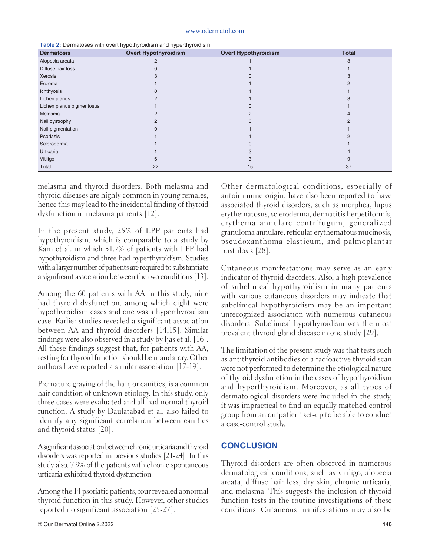#### www.odermatol.com

| <b>Dermatosis</b>         | <b>Overt Hypothyroidism</b> | <b>Overt Hypothyroidism</b> | <b>Total</b> |
|---------------------------|-----------------------------|-----------------------------|--------------|
| Alopecia areata           | 2                           |                             | 3            |
| Diffuse hair loss         |                             |                             |              |
| Xerosis                   |                             |                             |              |
| Eczema                    |                             |                             |              |
| Ichthyosis                |                             |                             |              |
| Lichen planus             |                             |                             |              |
| Lichen planus pigmentosus |                             |                             |              |
| Melasma                   |                             |                             |              |
| Nail dystrophy            |                             |                             |              |
| Nail pigmentation         |                             |                             |              |
| Psoriasis                 |                             |                             |              |
| Scleroderma               |                             |                             |              |
| Urticaria                 |                             |                             |              |
| Vitiligo                  | ิค                          |                             | 9            |
| Total                     | 22                          | 15                          | 37           |

**Table 2:** Dermatoses with overt hypothyroidism and hyperthyroidism

melasma and thyroid disorders. Both melasma and thyroid diseases are highly common in young females, hence this may lead to the incidental finding of thyroid dysfunction in melasma patients [12].

In the present study, 25% of LPP patients had hypothyroidism, which is comparable to a study by Karn et al. in which 31.7% of patients with LPP had hypothyroidism and three had hyperthyroidism. Studies with a larger number of patients are required to substantiate a significant association between the two conditions [13].

Among the 60 patients with AA in this study, nine had thyroid dysfunction, among which eight were hypothyroidism cases and one was a hyperthyroidism case. Earlier studies revealed a significant association between AA and thyroid disorders [14,15]. Similar findings were also observed in a study by Ijas et al. [16]. All these findings suggest that, for patients with AA, testing for thyroid function should be mandatory. Other authors have reported a similar association [17-19].

Premature graying of the hair, or canities, is a common hair condition of unknown etiology. In this study, only three cases were evaluated and all had normal thyroid function. A study by Daulatabad et al. also failed to identify any significant correlation between canities and thyroid status [20].

A significant association between chronic urticaria and thyroid disorders was reported in previous studies [21-24]. In this study also, 7.9% of the patients with chronic spontaneous urticaria exhibited thyroid dysfunction.

Among the 14 psoriatic patients, four revealed abnormal thyroid function in this study. However, other studies reported no significant association [25-27].

Other dermatological conditions, especially of autoimmune origin, have also been reported to have associated thyroid disorders, such as morphea, lupus erythematosus, scleroderma, dermatitis herpetiformis, erythema annulare centrifugum, generalized granuloma annulare, reticular erythematous mucinosis, pseudoxanthoma elasticum, and palmoplantar pustulosis [28].

Cutaneous manifestations may serve as an early indicator of thyroid disorders. Also, a high prevalence of subclinical hypothyroidism in many patients with various cutaneous disorders may indicate that subclinical hypothyroidism may be an important unrecognized association with numerous cutaneous disorders. Subclinical hypothyroidism was the most prevalent thyroid gland disease in one study [29].

The limitation of the present study was that tests such as antithyroid antibodies or a radioactive thyroid scan were not performed to determine the etiological nature of thyroid dysfunction in the cases of hypothyroidism and hyperthyroidism. Moreover, as all types of dermatological disorders were included in the study, it was impractical to find an equally matched control group from an outpatient set-up to be able to conduct a case-control study.

# **CONCLUSION**

Thyroid disorders are often observed in numerous dermatological conditions, such as vitiligo, alopecia areata, diffuse hair loss, dry skin, chronic urticaria, and melasma. This suggests the inclusion of thyroid function tests in the routine investigations of these conditions. Cutaneous manifestations may also be